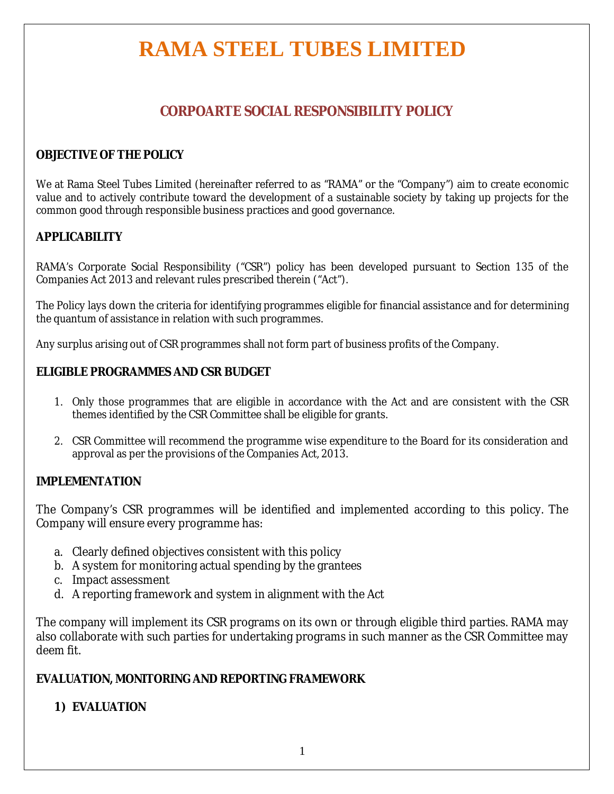# **RAMA STEEL TUBES LIMITED**

# **CORPOARTE SOCIAL RESPONSIBILITY POLICY**

### **OBJECTIVE OF THE POLICY**

We at Rama Steel Tubes Limited (hereinafter referred to as "RAMA" or the "Company") aim to create economic value and to actively contribute toward the development of a sustainable society by taking up projects for the common good through responsible business practices and good governance.

### **APPLICABILITY**

RAMA's Corporate Social Responsibility ("CSR") policy has been developed pursuant to Section 135 of the Companies Act 2013 and relevant rules prescribed therein ("Act").

The Policy lays down the criteria for identifying programmes eligible for financial assistance and for determining the quantum of assistance in relation with such programmes.

Any surplus arising out of CSR programmes shall not form part of business profits of the Company.

### **ELIGIBLE PROGRAMMES AND CSR BUDGET**

- 1. Only those programmes that are eligible in accordance with the Act and are consistent with the CSR themes identified by the CSR Committee shall be eligible for grants.
- 2. CSR Committee will recommend the programme wise expenditure to the Board for its consideration and approval as per the provisions of the Companies Act, 2013.

#### **IMPLEMENTATION**

The Company's CSR programmes will be identified and implemented according to this policy. The Company will ensure every programme has:

- a. Clearly defined objectives consistent with this policy
- b. A system for monitoring actual spending by the grantees
- c. Impact assessment
- d. A reporting framework and system in alignment with the Act

The company will implement its CSR programs on its own or through eligible third parties. RAMA may also collaborate with such parties for undertaking programs in such manner as the CSR Committee may deem fit.

### **EVALUATION, MONITORING AND REPORTING FRAMEWORK**

### **1) EVALUATION**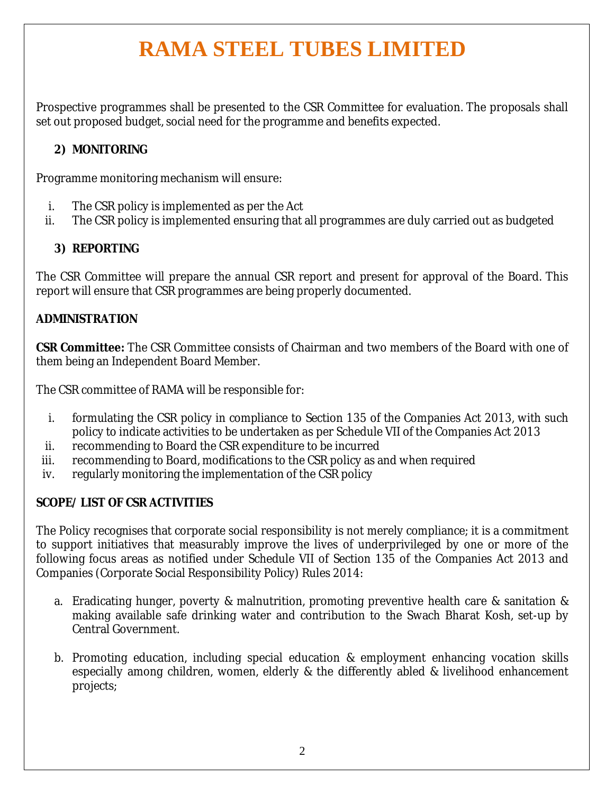# **RAMA STEEL TUBES LIMITED**

Prospective programmes shall be presented to the CSR Committee for evaluation. The proposals shall set out proposed budget, social need for the programme and benefits expected.

### **2) MONITORING**

Programme monitoring mechanism will ensure:

- i. The CSR policy is implemented as per the Act
- ii. The CSR policy is implemented ensuring that all programmes are duly carried out as budgeted

# **3) REPORTING**

The CSR Committee will prepare the annual CSR report and present for approval of the Board. This report will ensure that CSR programmes are being properly documented.

### **ADMINISTRATION**

**CSR Committee:** The CSR Committee consists of Chairman and two members of the Board with one of them being an Independent Board Member.

The CSR committee of RAMA will be responsible for:

- i. formulating the CSR policy in compliance to Section 135 of the Companies Act 2013, with such policy to indicate activities to be undertaken as per Schedule VII of the Companies Act 2013
- ii. recommending to Board the CSR expenditure to be incurred
- iii. recommending to Board, modifications to the CSR policy as and when required
- iv. regularly monitoring the implementation of the CSR policy

# **SCOPE/ LIST OF CSR ACTIVITIES**

The Policy recognises that corporate social responsibility is not merely compliance; it is a commitment to support initiatives that measurably improve the lives of underprivileged by one or more of the following focus areas as notified under Schedule VII of Section 135 of the Companies Act 2013 and Companies (Corporate Social Responsibility Policy) Rules 2014:

- a. Eradicating hunger, poverty & malnutrition, promoting preventive health care & sanitation & making available safe drinking water and contribution to the Swach Bharat Kosh, set-up by Central Government.
- b. Promoting education, including special education & employment enhancing vocation skills especially among children, women, elderly & the differently abled & livelihood enhancement projects;